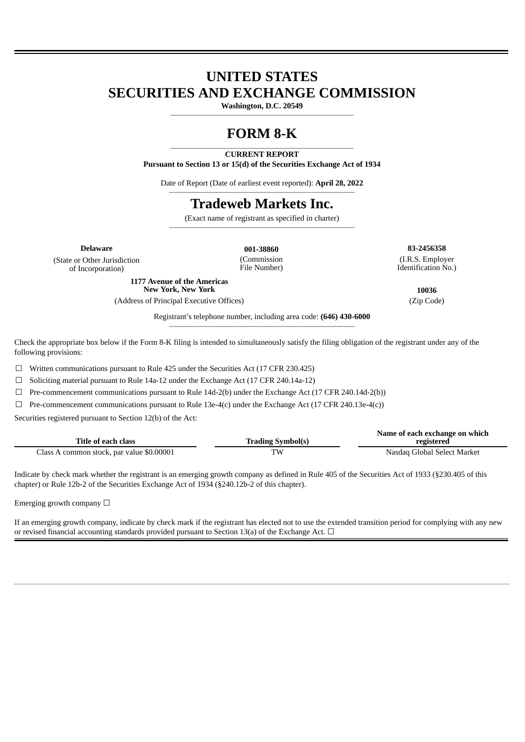## **UNITED STATES SECURITIES AND EXCHANGE COMMISSION**

**Washington, D.C. 20549 \_\_\_\_\_\_\_\_\_\_\_\_\_\_\_\_\_\_\_\_\_\_\_\_\_\_\_\_\_\_\_\_\_\_\_\_\_\_\_\_\_\_\_\_\_\_\_\_\_\_\_\_\_\_\_\_\_\_\_\_\_\_\_\_\_\_\_\_\_\_\_\_\_\_\_\_\_**

# **FORM 8-K**

#### **\_\_\_\_\_\_\_\_\_\_\_\_\_\_\_\_\_\_\_\_\_\_\_\_\_\_\_\_\_\_\_\_\_\_\_\_\_\_\_\_\_\_\_\_\_\_\_\_\_\_\_\_\_\_\_\_\_\_\_\_\_\_\_\_\_\_\_\_\_\_\_\_\_\_\_\_\_ CURRENT REPORT**

**Pursuant to Section 13 or 15(d) of the Securities Exchange Act of 1934**

Date of Report (Date of earliest event reported): **April 28, 2022 \_\_\_\_\_\_\_\_\_\_\_\_\_\_\_\_\_\_\_\_\_\_\_\_\_\_\_\_\_\_\_\_\_\_\_\_\_\_\_\_\_\_\_\_\_\_\_\_\_\_\_\_\_\_\_\_\_\_\_\_\_\_\_\_\_\_\_\_\_\_\_\_\_\_\_\_\_\_**

## **Tradeweb Markets Inc.**

(Exact name of registrant as specified in charter) **\_\_\_\_\_\_\_\_\_\_\_\_\_\_\_\_\_\_\_\_\_\_\_\_\_\_\_\_\_\_\_\_\_\_\_\_\_\_\_\_\_\_\_\_\_\_\_\_\_\_\_\_\_\_\_\_\_\_\_\_\_\_\_\_\_\_\_\_\_\_\_\_\_\_\_\_\_\_**

> (Commission File Number)

(State or Other Jurisdiction of Incorporation)

> **1177 Avenue of the Americas New York, New York 10036**

(Address of Principal Executive Offices) (Zip Code)

**Delaware 001-38860 83-2456358** (I.R.S. Employer Identification No.)

**Name of each exchange on which**

Registrant's telephone number, including area code: **(646) 430-6000 \_\_\_\_\_\_\_\_\_\_\_\_\_\_\_\_\_\_\_\_\_\_\_\_\_\_\_\_\_\_\_\_\_\_\_\_\_\_\_\_\_\_\_\_\_\_\_\_\_\_\_\_\_\_\_\_\_\_\_\_\_\_\_\_\_\_\_\_\_\_\_\_\_\_\_\_\_\_**

Check the appropriate box below if the Form 8-K filing is intended to simultaneously satisfy the filing obligation of the registrant under any of the following provisions:

 $\Box$  Written communications pursuant to Rule 425 under the Securities Act (17 CFR 230.425)

☐ Soliciting material pursuant to Rule 14a-12 under the Exchange Act (17 CFR 240.14a-12)

 $\Box$  Pre-commencement communications pursuant to Rule 14d-2(b) under the Exchange Act (17 CFR 240.14d-2(b))

 $\Box$  Pre-commencement communications pursuant to Rule 13e-4(c) under the Exchange Act (17 CFR 240.13e-4(c))

Securities registered pursuant to Section 12(b) of the Act:

| Title of each class                       | <b>Trading Symbol(s)</b> | <b>Name of each exchange on which</b><br>registered |
|-------------------------------------------|--------------------------|-----------------------------------------------------|
| Class A common stock, par value \$0.00001 | T٧                       | Nasdag Global Select Market                         |

Indicate by check mark whether the registrant is an emerging growth company as defined in Rule 405 of the Securities Act of 1933 (§230.405 of this chapter) or Rule 12b-2 of the Securities Exchange Act of 1934 (§240.12b-2 of this chapter).

Emerging growth company  $\Box$ 

If an emerging growth company, indicate by check mark if the registrant has elected not to use the extended transition period for complying with any new or revised financial accounting standards provided pursuant to Section 13(a) of the Exchange Act.  $\Box$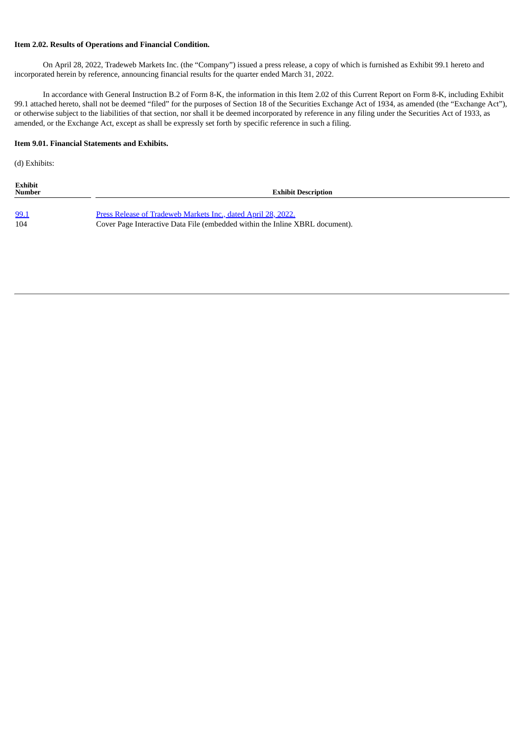#### **Item 2.02. Results of Operations and Financial Condition.**

On April 28, 2022, Tradeweb Markets Inc. (the "Company") issued a press release, a copy of which is furnished as Exhibit 99.1 hereto and incorporated herein by reference, announcing financial results for the quarter ended March 31, 2022.

In accordance with General Instruction B.2 of Form 8-K, the information in this Item 2.02 of this Current Report on Form 8-K, including Exhibit 99.1 attached hereto, shall not be deemed "filed" for the purposes of Section 18 of the Securities Exchange Act of 1934, as amended (the "Exchange Act"), or otherwise subject to the liabilities of that section, nor shall it be deemed incorporated by reference in any filing under the Securities Act of 1933, as amended, or the Exchange Act, except as shall be expressly set forth by specific reference in such a filing.

#### **Item 9.01. Financial Statements and Exhibits.**

(d) Exhibits:

| Exhibit<br><b>Number</b> | <b>Exhibit Description</b>                                                   |
|--------------------------|------------------------------------------------------------------------------|
| 99.1                     | Press Release of Tradeweb Markets Inc., dated April 28, 2022.                |
| 104                      | Cover Page Interactive Data File (embedded within the Inline XBRL document). |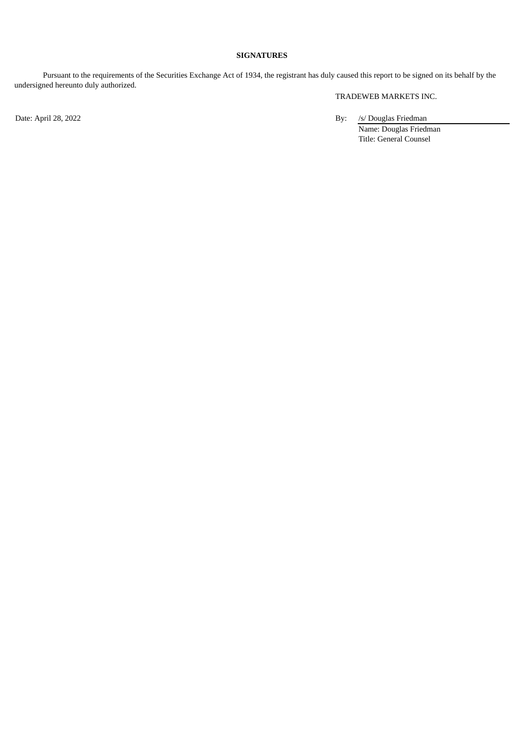### **SIGNATURES**

Pursuant to the requirements of the Securities Exchange Act of 1934, the registrant has duly caused this report to be signed on its behalf by the undersigned hereunto duly authorized.

TRADEWEB MARKETS INC.

Date: April 28, 2022 By: /s/ Douglas Friedman Name: Douglas Friedman Title: General Counsel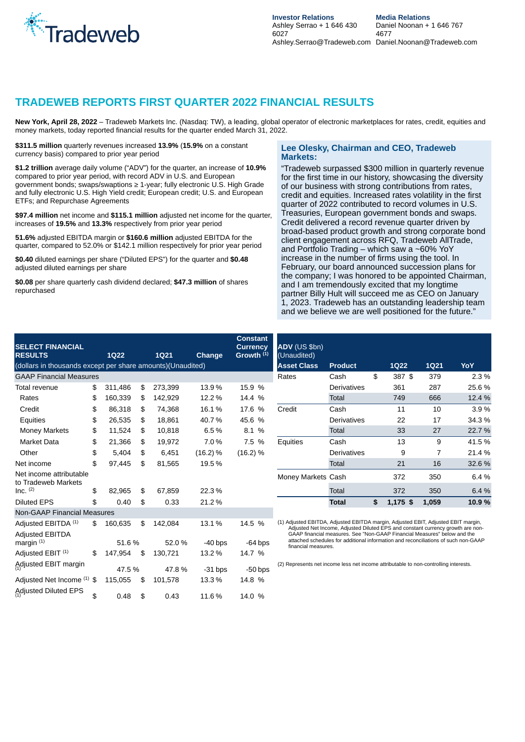<span id="page-3-0"></span>

### **TRADEWEB REPORTS FIRST QUARTER 2022 FINANCIAL RESULTS**

**New York, April 28, 2022** – Tradeweb Markets Inc. (Nasdaq: TW), a leading, global operator of electronic marketplaces for rates, credit, equities and money markets, today reported financial results for the quarter ended March 31, 2022.

**\$311.5 million** quarterly revenues increased **13.9%** (**15.9%** on a constant currency basis) compared to prior year period

**\$1.2 trillion** average daily volume ("ADV") for the quarter, an increase of **10.9%** compared to prior year period, with record ADV in U.S. and European government bonds; swaps/swaptions ≥ 1-year; fully electronic U.S. High Grade and fully electronic U.S. High Yield credit; European credit; U.S. and European ETFs; and Repurchase Agreements

**\$97.4 million** net income and **\$115.1 million** adjusted net income for the quarter, increases of **19.5%** and **13.3%** respectively from prior year period

**51.6%** adjusted EBITDA margin or **\$160.6 million** adjusted EBITDA for the quarter, compared to 52.0% or \$142.1 million respectively for prior year period

**\$0.40** diluted earnings per share ("Diluted EPS") for the quarter and **\$0.48** adjusted diluted earnings per share

**\$0.08** per share quarterly cash dividend declared; **\$47.3 million** of shares repurchased

#### **Lee Olesky, Chairman and CEO, Tradeweb Markets:**

"Tradeweb surpassed \$300 million in quarterly revenue for the first time in our history, showcasing the diversity of our business with strong contributions from rates, credit and equities. Increased rates volatility in the first quarter of 2022 contributed to record volumes in U.S. Treasuries, European government bonds and swaps. Credit delivered a record revenue quarter driven by broad-based product growth and strong corporate bond client engagement across RFQ, Tradeweb AllTrade, and Portfolio Trading – which saw a  $\sim$  60% YoY increase in the number of firms using the tool. In February, our board announced succession plans for the company; I was honored to be appointed Chairman, and I am tremendously excited that my longtime partner Billy Hult will succeed me as CEO on January 1, 2023. Tradeweb has an outstanding leadership team and we believe we are well positioned for the future."

| <b>SELECT FINANCIAL</b><br><b>RESULTS</b>                   |     | 1Q22    | <b>1Q21</b>   | <b>Change</b> | <b>Constant</b><br><b>Currency</b><br>Growth <sup>(1)</sup> | ADV (US \$bn)<br>(Unaudited)                                                         |                                                                                                                                                                |                |             |        |
|-------------------------------------------------------------|-----|---------|---------------|---------------|-------------------------------------------------------------|--------------------------------------------------------------------------------------|----------------------------------------------------------------------------------------------------------------------------------------------------------------|----------------|-------------|--------|
| (dollars in thousands except per share amounts) (Unaudited) |     |         |               |               |                                                             | <b>Asset Class</b>                                                                   | <b>Product</b>                                                                                                                                                 | 1Q22           | <b>1021</b> | YoY    |
| <b>GAAP Financial Measures</b>                              |     |         |               |               |                                                             | Rates                                                                                | Cash                                                                                                                                                           | \$<br>387 \$   | 379         | 2.3%   |
| Total revenue                                               | \$  | 311.486 | \$<br>273.399 | 13.9%         | 15.9 %                                                      |                                                                                      | <b>Derivatives</b>                                                                                                                                             | 361            | 287         | 25.6 % |
| Rates                                                       | \$  | 160,339 | \$<br>142,929 | 12.2%         | 14.4 %                                                      |                                                                                      | Total                                                                                                                                                          | 749            | 666         | 12.4 % |
| Credit                                                      | \$  | 86,318  | \$<br>74,368  | 16.1%         | 17.6<br>$\%$                                                | Credit                                                                               | Cash                                                                                                                                                           | 11             | 10          | 3.9%   |
| Equities                                                    | \$  | 26,535  | \$<br>18,861  | 40.7%         | 45.6 %                                                      |                                                                                      | Derivatives                                                                                                                                                    | 22             | 17          | 34.3 % |
| Money Markets                                               | \$  | 11,524  | \$<br>10,818  | 6.5%          | 8.1 %                                                       |                                                                                      | <b>Total</b>                                                                                                                                                   | 33             | 27          | 22.7 % |
| Market Data                                                 | \$  | 21,366  | \$<br>19,972  | 7.0%          | 7.5<br>$\%$                                                 | Equities                                                                             | Cash                                                                                                                                                           | 13             | 9           | 41.5 % |
| Other                                                       | \$  | 5,404   | \$<br>6,451   | (16.2) %      | (16.2) %                                                    |                                                                                      | Derivatives                                                                                                                                                    | 9              | 7           | 21.4 % |
| Net income                                                  | \$  | 97,445  | \$<br>81,565  | 19.5%         |                                                             |                                                                                      | <b>Total</b>                                                                                                                                                   | 21             | 16          | 32.6 % |
| Net income attributable<br>to Tradeweb Markets              |     |         |               |               |                                                             | Money Markets Cash                                                                   |                                                                                                                                                                | 372            | 350         | 6.4 %  |
| Inc. $(2)$                                                  | \$  | 82,965  | \$<br>67,859  | 22.3%         |                                                             |                                                                                      | Total                                                                                                                                                          | 372            | 350         | 6.4 %  |
| <b>Diluted EPS</b>                                          | \$  | 0.40    | \$<br>0.33    | 21.2%         |                                                             |                                                                                      | <b>Total</b>                                                                                                                                                   | \$<br>1,175 \$ | 1,059       | 10.9%  |
| <b>Non-GAAP Financial Measures</b>                          |     |         |               |               |                                                             |                                                                                      |                                                                                                                                                                |                |             |        |
| Adjusted EBITDA (1)                                         | \$. | 160,635 | \$<br>142,084 | 13.1%         | 14.5 %                                                      | (1) Adjusted EBITDA, Adjusted EBITDA margin, Adjusted EBIT, Adjusted EBIT margin,    | Adjusted Net Income, Adjusted Diluted EPS and constant currency growth are non-                                                                                |                |             |        |
| <b>Adjusted EBITDA</b><br>margin $(1)$                      |     | 51.6%   | 52.0%         | $-40$ bps     | $-64$ bps                                                   | financial measures.                                                                  | GAAP financial measures. See "Non-GAAP Financial Measures" below and the<br>attached schedules for additional information and reconciliations of such non-GAAP |                |             |        |
| Adjusted EBIT <sup>(1)</sup>                                | \$  | 147,954 | \$<br>130,721 | 13.2%         | 14.7 %                                                      |                                                                                      |                                                                                                                                                                |                |             |        |
| Adjusted EBIT margin                                        |     | 47.5 %  | 47.8%         | $-31$ bps     | $-50$ bps                                                   | (2) Represents net income less net income attributable to non-controlling interests. |                                                                                                                                                                |                |             |        |
| Adjusted Net Income (1) \$                                  |     | 115,055 | \$<br>101,578 | 13.3%         | 14.8 %                                                      |                                                                                      |                                                                                                                                                                |                |             |        |
| Adjusted Diluted EPS                                        | \$  | 0.48    | \$<br>0.43    | 11.6%         | 14.0 %                                                      |                                                                                      |                                                                                                                                                                |                |             |        |

| ADV (US \$bn)<br>(Unaudited) |                    |                |       |         |
|------------------------------|--------------------|----------------|-------|---------|
| <b>Asset Class</b>           | <b>Product</b>     | 1Q22           | 1Q21  | YoY     |
| Rates                        | Cash               | \$<br>387 \$   | 379   | $2.3\%$ |
|                              | <b>Derivatives</b> | 361            | 287   | 25.6 %  |
|                              | Total              | 749            | 666   | 12.4 %  |
| Credit                       | Cash               | 11             | 10    | 3.9%    |
|                              | Derivatives        | 22             | 17    | 34.3 %  |
|                              | Total              | 33             | 27    | 22.7 %  |
| Equities                     | Cash               | 13             | 9     | 41.5 %  |
|                              | Derivatives        | 9              | 7     | 21.4 %  |
|                              | <b>Total</b>       | 21             | 16    | 32.6 %  |
| Money Markets Cash           |                    | 372            | 350   | 6.4%    |
|                              | Total              | 372            | 350   | 6.4%    |
|                              | Total              | \$<br>1,175 \$ | 1,059 | 10.9 %  |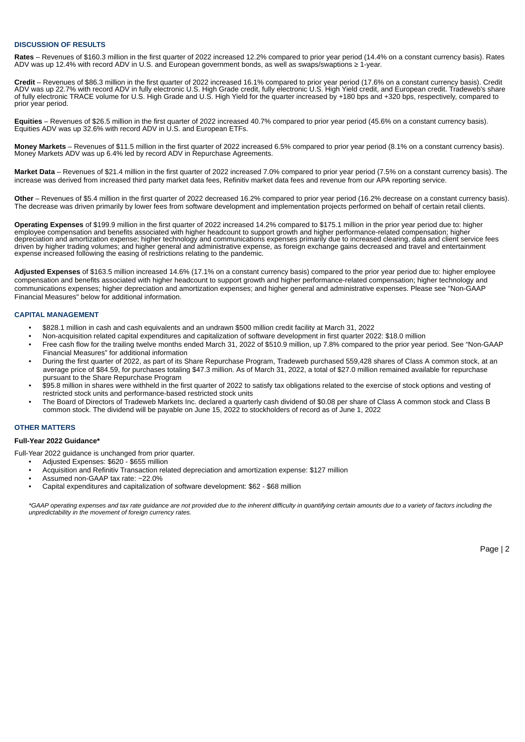#### **DISCUSSION OF RESULTS**

**Rates** – Revenues of \$160.3 million in the first quarter of 2022 increased 12.2% compared to prior year period (14.4% on a constant currency basis). Rates ADV was up 12.4% with record ADV in U.S. and European government bonds, as well as swaps/swaptions ≥ 1-year.

**Credit** – Revenues of \$86.3 million in the first quarter of 2022 increased 16.1% compared to prior year period (17.6% on a constant currency basis). Credit ADV was up 22.7% with record ADV in fully electronic U.S. High Grade credit, fully electronic U.S. High Yield credit, and European credit. Tradeweb's share of fully electronic TRACE volume for U.S. High Grade and U.S. High Yield for the quarter increased by +180 bps and +320 bps, respectively, compared to prior year period.

**Equities** – Revenues of \$26.5 million in the first quarter of 2022 increased 40.7% compared to prior year period (45.6% on a constant currency basis). Equities ADV was up 32.6% with record ADV in U.S. and European ETFs.

**Money Markets** – Revenues of \$11.5 million in the first quarter of 2022 increased 6.5% compared to prior year period (8.1% on a constant currency basis). Money Markets ADV was up 6.4% led by record ADV in Repurchase Agreements.

**Market Data** – Revenues of \$21.4 million in the first quarter of 2022 increased 7.0% compared to prior year period (7.5% on a constant currency basis). The increase was derived from increased third party market data fees, Refinitiv market data fees and revenue from our APA reporting service.

**Other** – Revenues of \$5.4 million in the first quarter of 2022 decreased 16.2% compared to prior year period (16.2% decrease on a constant currency basis). The decrease was driven primarily by lower fees from software development and implementation projects performed on behalf of certain retail clients.

**Operating Expenses** of \$199.9 million in the first quarter of 2022 increased 14.2% compared to \$175.1 million in the prior year period due to: higher employee compensation and benefits associated with higher headcount to support growth and higher performance-related compensation; higher depreciation and amortization expense; higher technology and communications expenses primarily due to increased clearing, data and client service fees driven by higher trading volumes; and higher general and administrative expense, as foreign exchange gains decreased and travel and entertainment expense increased following the easing of restrictions relating to the pandemic.

**Adjusted Expenses** of \$163.5 million increased 14.6% (17.1% on a constant currency basis) compared to the prior year period due to: higher employee compensation and benefits associated with higher headcount to support growth and higher performance-related compensation; higher technology and communications expenses; higher depreciation and amortization expenses; and higher general and administrative expenses. Please see "Non-GAAP Financial Measures" below for additional information.

#### **CAPITAL MANAGEMENT**

- \$828.1 million in cash and cash equivalents and an undrawn \$500 million credit facility at March 31, 2022
- Non-acquisition related capital expenditures and capitalization of software development in first quarter 2022: \$18.0 million
- Free cash flow for the trailing twelve months ended March 31, 2022 of \$510.9 million, up 7.8% compared to the prior year period. See "Non-GAAP Financial Measures" for additional information
- During the first quarter of 2022, as part of its Share Repurchase Program, Tradeweb purchased 559,428 shares of Class A common stock, at an average price of \$84.59, for purchases totaling \$47.3 million. As of March 31, 2022, a total of \$27.0 million remained available for repurchase pursuant to the Share Repurchase Program
- \$95.8 million in shares were withheld in the first quarter of 2022 to satisfy tax obligations related to the exercise of stock options and vesting of restricted stock units and performance-based restricted stock units
- The Board of Directors of Tradeweb Markets Inc. declared a quarterly cash dividend of \$0.08 per share of Class A common stock and Class B common stock. The dividend will be payable on June 15, 2022 to stockholders of record as of June 1, 2022

#### **OTHER MATTERS**

#### **Full-Year 2022 Guidance\***

Full-Year 2022 guidance is unchanged from prior quarter.

- Adjusted Expenses: \$620 \$655 million
- Acquisition and Refinitiv Transaction related depreciation and amortization expense: \$127 million
- Assumed non-GAAP tax rate: ~22.0%
- Capital expenditures and capitalization of software development: \$62 \$68 million

\*GAAP operating expenses and tax rate quidance are not provided due to the inherent difficulty in quantifying certain amounts due to a variety of factors including the *unpredictability in the movement of foreign currency rates.*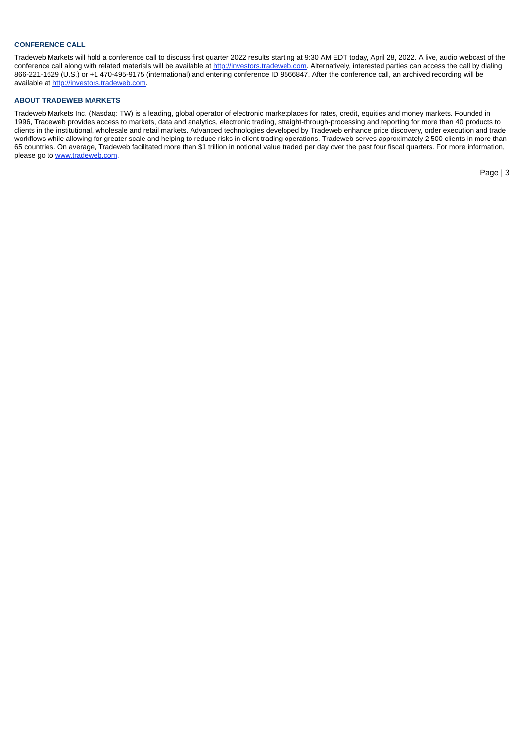#### **CONFERENCE CALL**

Tradeweb Markets will hold a conference call to discuss first quarter 2022 results starting at 9:30 AM EDT today, April 28, 2022. A live, audio webcast of the conference call along with related materials will be available at http://investors.tradeweb.com. Alternatively, interested parties can access the call by dialing 866-221-1629 (U.S.) or +1 470-495-9175 (international) and entering conference ID 9566847. After the conference call, an archived recording will be available at http://investors.tradeweb.com.

#### **ABOUT TRADEWEB MARKETS**

Tradeweb Markets Inc. (Nasdaq: TW) is a leading, global operator of electronic marketplaces for rates, credit, equities and money markets. Founded in 1996, Tradeweb provides access to markets, data and analytics, electronic trading, straight-through-processing and reporting for more than 40 products to clients in the institutional, wholesale and retail markets. Advanced technologies developed by Tradeweb enhance price discovery, order execution and trade workflows while allowing for greater scale and helping to reduce risks in client trading operations. Tradeweb serves approximately 2,500 clients in more than 65 countries. On average, Tradeweb facilitated more than \$1 trillion in notional value traded per day over the past four fiscal quarters. For more information, please go to www.tradeweb.com.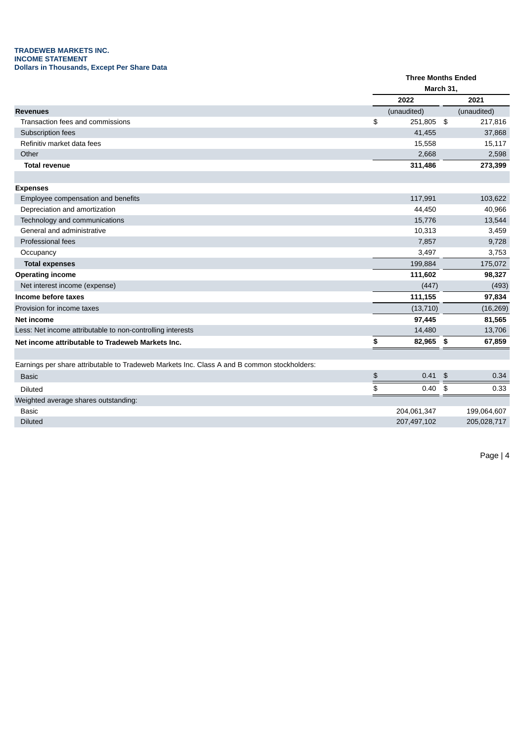#### **TRADEWEB MARKETS INC. INCOME STATEMENT Dollars in Thousands, Except Per Share Data**

|                                                                                             | <b>Three Months Ended</b> |              |
|---------------------------------------------------------------------------------------------|---------------------------|--------------|
|                                                                                             | March 31,                 |              |
|                                                                                             | 2022                      | 2021         |
| <b>Revenues</b>                                                                             | (unaudited)               | (unaudited)  |
| Transaction fees and commissions                                                            | \$<br>251,805 \$          | 217,816      |
| Subscription fees                                                                           | 41,455                    | 37,868       |
| Refinitiv market data fees                                                                  | 15,558                    | 15,117       |
| Other                                                                                       | 2,668                     | 2,598        |
| <b>Total revenue</b>                                                                        | 311,486                   | 273,399      |
|                                                                                             |                           |              |
| <b>Expenses</b>                                                                             |                           |              |
| Employee compensation and benefits                                                          | 117,991                   | 103,622      |
| Depreciation and amortization                                                               | 44,450                    | 40,966       |
| Technology and communications                                                               | 15,776                    | 13,544       |
| General and administrative                                                                  | 10,313                    | 3,459        |
| Professional fees                                                                           | 7,857                     | 9,728        |
| Occupancy                                                                                   | 3,497                     | 3,753        |
| <b>Total expenses</b>                                                                       | 199,884                   | 175,072      |
| <b>Operating income</b>                                                                     | 111,602                   | 98,327       |
| Net interest income (expense)                                                               | (447)                     | (493)        |
| Income before taxes                                                                         | 111,155                   | 97,834       |
| Provision for income taxes                                                                  | (13, 710)                 | (16, 269)    |
| Net income                                                                                  | 97,445                    | 81,565       |
| Less: Net income attributable to non-controlling interests                                  | 14,480                    | 13,706       |
| Net income attributable to Tradeweb Markets Inc.                                            | \$<br>82,965              | \$<br>67,859 |
|                                                                                             |                           |              |
| Earnings per share attributable to Tradeweb Markets Inc. Class A and B common stockholders: |                           |              |
| <b>Basic</b>                                                                                | \$<br>$0.41$ \$           | 0.34         |
| Diluted                                                                                     | \$<br>0.40                | \$<br>0.33   |
| Weighted average shares outstanding:                                                        |                           |              |
| <b>Basic</b>                                                                                | 204,061,347               | 199,064,607  |
| <b>Diluted</b>                                                                              | 207,497,102               | 205,028,717  |
|                                                                                             |                           |              |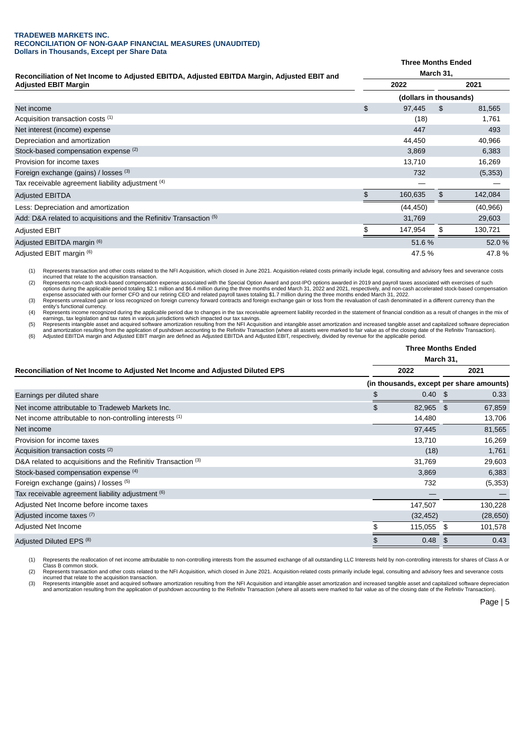#### **TRADEWEB MARKETS INC. RECONCILIATION OF NON-GAAP FINANCIAL MEASURES (UNAUDITED) Dollars in Thousands, Except per Share Data**

|                                                                                            | <b>Three Months Ended</b> |                        |           |  |  |  |  |
|--------------------------------------------------------------------------------------------|---------------------------|------------------------|-----------|--|--|--|--|
| Reconciliation of Net Income to Adjusted EBITDA, Adjusted EBITDA Margin, Adjusted EBIT and |                           | March 31,              |           |  |  |  |  |
| <b>Adjusted EBIT Margin</b>                                                                | 2022                      |                        | 2021      |  |  |  |  |
|                                                                                            |                           | (dollars in thousands) |           |  |  |  |  |
| Net income                                                                                 | \$<br>97,445              | \$                     | 81,565    |  |  |  |  |
| Acquisition transaction costs (1)                                                          | (18)                      |                        | 1,761     |  |  |  |  |
| Net interest (income) expense                                                              | 447                       |                        | 493       |  |  |  |  |
| Depreciation and amortization                                                              | 44,450                    |                        | 40,966    |  |  |  |  |
| Stock-based compensation expense (2)                                                       | 3,869                     |                        | 6,383     |  |  |  |  |
| Provision for income taxes                                                                 | 13,710                    |                        | 16,269    |  |  |  |  |
| Foreign exchange (gains) / losses (3)                                                      | 732                       |                        | (5, 353)  |  |  |  |  |
| Tax receivable agreement liability adjustment (4)                                          |                           |                        |           |  |  |  |  |
| Adjusted EBITDA                                                                            | 160,635                   | \$                     | 142,084   |  |  |  |  |
| Less: Depreciation and amortization                                                        | (44, 450)                 |                        | (40, 966) |  |  |  |  |
| Add: D&A related to acquisitions and the Refinitiv Transaction (5)                         | 31,769                    |                        | 29,603    |  |  |  |  |
| Adjusted EBIT                                                                              | 147,954                   | \$                     | 130,721   |  |  |  |  |
| Adjusted EBITDA margin <sup>(6)</sup>                                                      | 51.6%                     |                        | 52.0 %    |  |  |  |  |
| Adjusted EBIT margin (6)                                                                   | 47.5 %                    |                        | 47.8%     |  |  |  |  |

(1) Represents transaction and other costs related to the NFI Acquisition, which closed in June 2021. Acquisition-related costs primarily include legal, consulting and advisory fees and severance costs<br>incurred that relate

method control of the Special Compensation expense associated with the Special Option Award and post-IPO options awarded in 2019 and payroll taxes associated with exercises of such payroll taxes associated with exercises o options during the applicable period totaling \$2.1 million and \$6.4 million during the three months ended March 31, 2022 and 2021, respectively, and non-cash accelerated stock-based compensation<br>expense associated with our

(3) Represents unrealized gain or loss recognized on foreign currency forward contracts and foreign exchange gain or loss from the revaluation of cash denominated in a different currency than the<br>entity's functional curren

(4) Represents income recognized during the applicable period due to changes in the tax receivable agreement liability recorded in the statement of financial condition as a result of changes in the mix of

earnings, tax legislation and tax rates in various jurisdictions which impacted our tax savings.<br>(5) Represents intangible asset and acquired software amortization resulting from the NFI Acquisition and intangible asset am

|                                                                              | <b>Three Months Ended</b><br>March 31,   |    |           |  |  |
|------------------------------------------------------------------------------|------------------------------------------|----|-----------|--|--|
| Reconciliation of Net Income to Adjusted Net Income and Adjusted Diluted EPS | 2022                                     |    | 2021      |  |  |
|                                                                              | (in thousands, except per share amounts) |    |           |  |  |
| Earnings per diluted share                                                   | \$<br>$0.40$ \$                          |    | 0.33      |  |  |
| Net income attributable to Tradeweb Markets Inc.                             | \$<br>82,965 \$                          |    | 67,859    |  |  |
| Net income attributable to non-controlling interests (1)                     | 14,480                                   |    | 13,706    |  |  |
| Net income                                                                   | 97,445                                   |    | 81,565    |  |  |
| Provision for income taxes                                                   | 13,710                                   |    | 16,269    |  |  |
| Acquisition transaction costs (2)                                            | (18)                                     |    | 1,761     |  |  |
| D&A related to acquisitions and the Refinitiv Transaction (3)                | 31,769                                   |    | 29,603    |  |  |
| Stock-based compensation expense (4)                                         | 3,869                                    |    | 6,383     |  |  |
| Foreign exchange (gains) / losses (5)                                        | 732                                      |    | (5, 353)  |  |  |
| Tax receivable agreement liability adjustment (6)                            |                                          |    |           |  |  |
| Adjusted Net Income before income taxes                                      | 147,507                                  |    | 130,228   |  |  |
| Adjusted income taxes (7)                                                    | (32, 452)                                |    | (28, 650) |  |  |
| Adjusted Net Income                                                          | \$<br>115,055 \$                         |    | 101,578   |  |  |
| Adjusted Diluted EPS <sup>(8)</sup>                                          | \$<br>0.48                               | \$ | 0.43      |  |  |

(1) Represents the reallocation of net income attributable to non-controlling interests from the assumed exchange of all outstanding LLC Interests held by non-controlling interests for shares of Class A or

Class B common stock. (2) Represents transaction and other costs related to the NFI Acquisition, which closed in June 2021. Acquisition-related costs primarily include legal, consulting and advisory fees and severance costs

incurred that relate to the acquisition transaction.<br>(3) Represents intangible asset and acquired software amortization resulting from the NFI Acquisition and intangible asset amortization and increased tangible asset and and amortization resulting from the application of pushdown accounting to the Refinitiv Transaction (where all assets were marked to fair value as of the closing date of the Refinitiv Transaction).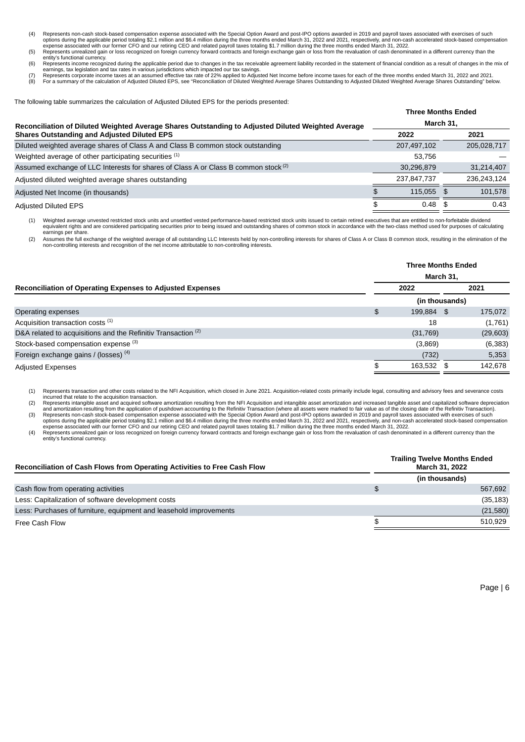- Represents non-cash stock-based compensation expense associated with the Special Option Award and post-IPO options awarded in 2019 and payroll taxes associated with exercises of such options options awarded in 2019 and pay
- entity's functional currency.
- (6) Represents income recognized during the applicable period due to changes in the tax receivable agreement liability recorded in the statement of financial condition as a result of changes in the mix of<br>(7) Represents co
- 

The following table summarizes the calculation of Adjusted Diluted EPS for the periods presented:

|                                                                                                    |           | <b>Three Months Ended</b> |  |             |  |
|----------------------------------------------------------------------------------------------------|-----------|---------------------------|--|-------------|--|
| Reconciliation of Diluted Weighted Average Shares Outstanding to Adjusted Diluted Weighted Average | March 31, |                           |  |             |  |
| <b>Shares Outstanding and Adjusted Diluted EPS</b>                                                 |           | 2022                      |  | 2021        |  |
| Diluted weighted average shares of Class A and Class B common stock outstanding                    |           | 207,497,102               |  | 205,028,717 |  |
| Weighted average of other participating securities (1)                                             |           | 53,756                    |  |             |  |
| Assumed exchange of LLC Interests for shares of Class A or Class B common stock (2)                |           | 30,296,879                |  | 31,214,407  |  |
| Adjusted diluted weighted average shares outstanding                                               |           | 237,847,737               |  | 236.243.124 |  |
| Adjusted Net Income (in thousands)                                                                 |           | 115.055 \$                |  | 101,578     |  |
| <b>Adjusted Diluted EPS</b>                                                                        |           | 0.48                      |  | 0.43        |  |

(1) Weighted average unvested restricted stock units and unsettled vested performance-based restricted stock units issued to certain retired executives that are entitled to non-forfeitable dividend equivalent rights and are considered participating securities prior to being issued and outstanding shares of common stock in accordance with the two-class method used for purposes of calculating earnings per share.

(2) Assumes the full exchange of the weighted average of all outstanding LLC Interests held by non-controlling interests for shares of Class A or Class B common stock, resulting in the elimination of the<br>non-controlling in

|                                                                          | <b>Three Months Ended</b><br>March 31, |            |      |           |  |  |  |
|--------------------------------------------------------------------------|----------------------------------------|------------|------|-----------|--|--|--|
| Reconciliation of Operating Expenses to Adjusted Expenses                | 2022                                   |            | 2021 |           |  |  |  |
|                                                                          | (in thousands)                         |            |      |           |  |  |  |
| Operating expenses                                                       | \$                                     | 199,884 \$ |      | 175,072   |  |  |  |
| Acquisition transaction costs (1)                                        |                                        | 18         |      | (1,761)   |  |  |  |
| D&A related to acquisitions and the Refinitiv Transaction <sup>(2)</sup> |                                        | (31, 769)  |      | (29, 603) |  |  |  |
| Stock-based compensation expense (3)                                     |                                        | (3,869)    |      | (6, 383)  |  |  |  |
| Foreign exchange gains / (losses) $(4)$                                  |                                        | (732)      |      | 5,353     |  |  |  |
| <b>Adjusted Expenses</b>                                                 |                                        | 163,532 \$ |      | 142,678   |  |  |  |

(1) Represents transaction and other costs related to the NFI Acquisition, which closed in June 2021. Acquisition-related costs primarily include legal, consulting and advisory fees and severance costs

incurred that relate to the acquisition transaction.<br>(2) Represents intangible asset and acquired software amortization resulting from the NFI Acquisition and intangible asset amortization and increased tangible asset and

and amortization resulting from the application of pushdown accounting to the Refinitiv Transaction (where all assets were marked to fair value as of the closing date of the Refinitiv Transaction).<br>Represents non-cash stoc

expense associated with our former CFO and our retiring CEO and related payroll taxes totaling \$1.7 million during the three months ended March 31, 2022.<br>(4) Represents unrealized gain or loss recognized on foreign currenc entity's functional currency.

| Reconciliation of Cash Flows from Operating Activities to Free Cash Flow | <b>Trailing Twelve Months Ended</b><br><b>March 31, 2022</b> |
|--------------------------------------------------------------------------|--------------------------------------------------------------|
|                                                                          | (in thousands)                                               |
| Cash flow from operating activities                                      | \$<br>567.692                                                |
| Less: Capitalization of software development costs                       | (35, 183)                                                    |
| Less: Purchases of furniture, equipment and leasehold improvements       | (21,580)                                                     |
| Free Cash Flow                                                           | \$<br>510.929                                                |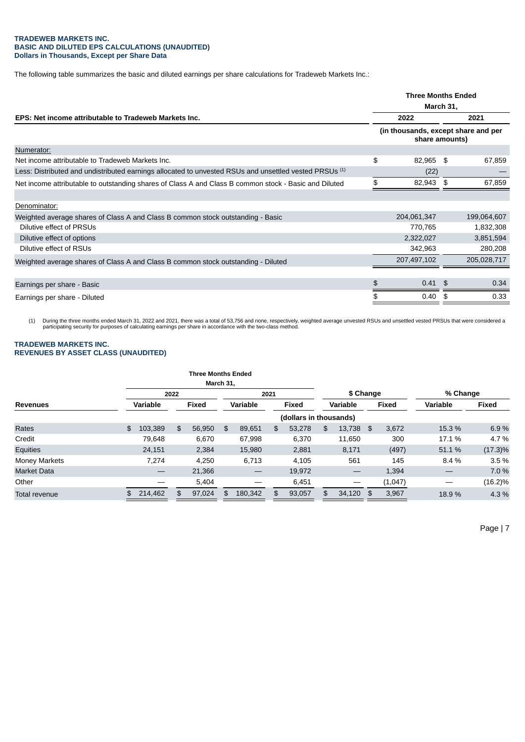#### **TRADEWEB MARKETS INC. BASIC AND DILUTED EPS CALCULATIONS (UNAUDITED) Dollars in Thousands, Except per Share Data**

The following table summarizes the basic and diluted earnings per share calculations for Tradeweb Markets Inc.:

|                                                                                                        |                                                       | <b>Three Months Ended</b><br>March 31, |  |  |
|--------------------------------------------------------------------------------------------------------|-------------------------------------------------------|----------------------------------------|--|--|
| EPS: Net income attributable to Tradeweb Markets Inc.                                                  | 2022                                                  | 2021                                   |  |  |
|                                                                                                        | (in thousands, except share and per<br>share amounts) |                                        |  |  |
| Numerator:                                                                                             |                                                       |                                        |  |  |
| Net income attributable to Tradeweb Markets Inc.                                                       | \$<br>82,965                                          | \$<br>67,859                           |  |  |
| Less: Distributed and undistributed earnings allocated to unvested RSUs and unsettled vested PRSUs (1) | (22)                                                  |                                        |  |  |
| Net income attributable to outstanding shares of Class A and Class B common stock - Basic and Diluted  | 82,943                                                | \$<br>67,859                           |  |  |
|                                                                                                        |                                                       |                                        |  |  |
| Denominator:                                                                                           |                                                       |                                        |  |  |
| Weighted average shares of Class A and Class B common stock outstanding - Basic                        | 204,061,347                                           | 199,064,607                            |  |  |
| Dilutive effect of PRSUs                                                                               | 770,765                                               | 1,832,308                              |  |  |
| Dilutive effect of options                                                                             | 2,322,027                                             | 3,851,594                              |  |  |
| Dilutive effect of RSUs                                                                                | 342,963                                               | 280,208                                |  |  |
| Weighted average shares of Class A and Class B common stock outstanding - Diluted                      | 207,497,102                                           | 205,028,717                            |  |  |
|                                                                                                        |                                                       |                                        |  |  |
| Earnings per share - Basic                                                                             | \$<br>$0.41$ \$                                       | 0.34                                   |  |  |
| Earnings per share - Diluted                                                                           | \$<br>0.40                                            | \$<br>0.33                             |  |  |

(1) During the three months ended March 31, 2022 and 2021, there was a total of 53,756 and none, respectively, weighted average unvested RSUs and unsettled vested PRSUs that were considered a<br>participating security for pur

#### **TRADEWEB MARKETS INC. REVENUES BY ASSET CLASS (UNAUDITED)**

|                        |                 | <b>Three Months Ended</b> |           |                 |                                |     |        |    |                                |    |              |          |            |  |
|------------------------|-----------------|---------------------------|-----------|-----------------|--------------------------------|-----|--------|----|--------------------------------|----|--------------|----------|------------|--|
|                        |                 |                           | March 31, |                 |                                |     |        |    |                                |    |              |          |            |  |
|                        |                 | 2022                      |           | 2021            |                                |     |        |    | \$ Change                      |    |              | % Change |            |  |
| <b>Revenues</b>        | <b>Variable</b> | Fixed                     |           | <b>Variable</b> |                                |     | Fixed  |    | <b>Variable</b>                |    | <b>Fixed</b> | Variable | Fixed      |  |
| (dollars in thousands) |                 |                           |           |                 |                                |     |        |    |                                |    |              |          |            |  |
| Rates                  | 103,389<br>\$   | \$                        | 56,950    | \$              | 89,651                         | \$  | 53,278 | \$ | 13,738                         | \$ | 3,672        | 15.3 %   | 6.9%       |  |
| Credit                 | 79.648          |                           | 6,670     |                 | 67,998                         |     | 6,370  |    | 11.650                         |    | 300          | 17.1 %   | 4.7 %      |  |
| Equities               | 24,151          |                           | 2,384     |                 | 15,980                         |     | 2,881  |    | 8,171                          |    | (497)        | 51.1%    | $(17.3)\%$ |  |
| <b>Money Markets</b>   | 7,274           |                           | 4.250     |                 | 6,713                          |     | 4,105  |    | 561                            |    | 145          | 8.4 %    | 3.5%       |  |
| <b>Market Data</b>     |                 |                           | 21,366    |                 | $\qquad \qquad \longleftarrow$ |     | 19,972 |    | $\qquad \qquad \longleftarrow$ |    | 1,394        |          | 7.0 %      |  |
| Other                  |                 |                           | 5,404     |                 |                                |     | 6,451  |    | —                              |    | (1,047)      |          | $(16.2)\%$ |  |
| Total revenue          | 214,462<br>\$   | \$.                       | 97,024    | \$.             | 180,342                        | \$. | 93,057 | \$ | 34,120                         | \$ | 3,967        | 18.9%    | 4.3 %      |  |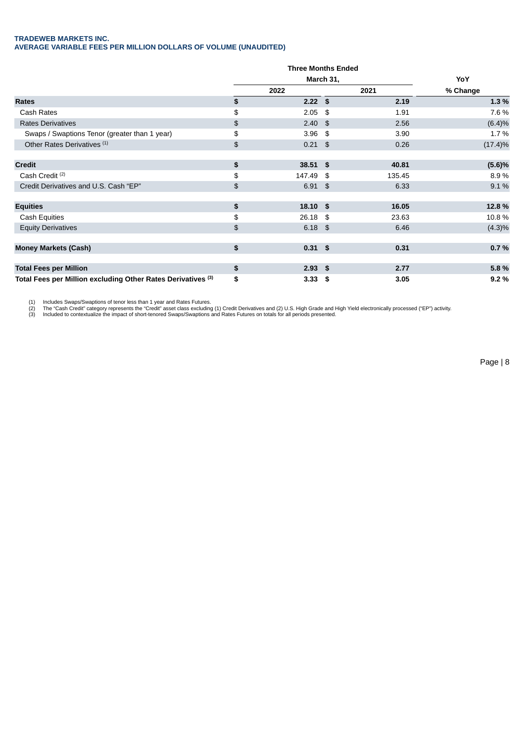#### **TRADEWEB MARKETS INC. AVERAGE VARIABLE FEES PER MILLION DOLLARS OF VOLUME (UNAUDITED)**

|                                                              |    | <b>Three Months Ended</b> |             |            |
|--------------------------------------------------------------|----|---------------------------|-------------|------------|
|                                                              |    | March 31,                 | YoY         |            |
|                                                              |    | 2022                      | 2021        | % Change   |
| Rates                                                        | \$ | $2.22$ \$                 | 2.19        | 1.3%       |
| Cash Rates                                                   | \$ | 2.05                      | \$<br>1.91  | 7.6 %      |
| <b>Rates Derivatives</b>                                     | \$ | $2.40$ \$                 | 2.56        | (6.4)%     |
| Swaps / Swaptions Tenor (greater than 1 year)                | \$ | $3.96$ \$                 | 3.90        | 1.7%       |
| Other Rates Derivatives <sup>(1)</sup>                       | \$ | $0.21$ \$                 | 0.26        | $(17.4)\%$ |
| <b>Credit</b>                                                | \$ | $38.51$ \$                | 40.81       | (5.6)%     |
| Cash Credit <sup>(2)</sup>                                   | \$ | 147.49 \$                 | 135.45      | 8.9%       |
| Credit Derivatives and U.S. Cash "EP"                        | \$ | $6.91$ \$                 | 6.33        | 9.1%       |
| <b>Equities</b>                                              | \$ | $18.10$ \$                | 16.05       | 12.8%      |
| <b>Cash Equities</b>                                         | \$ | 26.18                     | \$<br>23.63 | 10.8%      |
| <b>Equity Derivatives</b>                                    | \$ | $6.18$ \$                 | 6.46        | $(4.3)\%$  |
| <b>Money Markets (Cash)</b>                                  | \$ | $0.31$ \$                 | 0.31        | 0.7%       |
| <b>Total Fees per Million</b>                                | \$ | $2.93$ \$                 | 2.77        | 5.8%       |
| Total Fees per Million excluding Other Rates Derivatives (3) | \$ | $3.33$ \$                 | 3.05        | 9.2%       |

(1) Includes Swaps/Swaptions of tenor less than 1 year and Rates Futures.<br>(2) The "Cash Credit" category represents the "Credit" asset class excluding (1) Credit Derivatives and (2) U.S. High Grade and High Yield electroni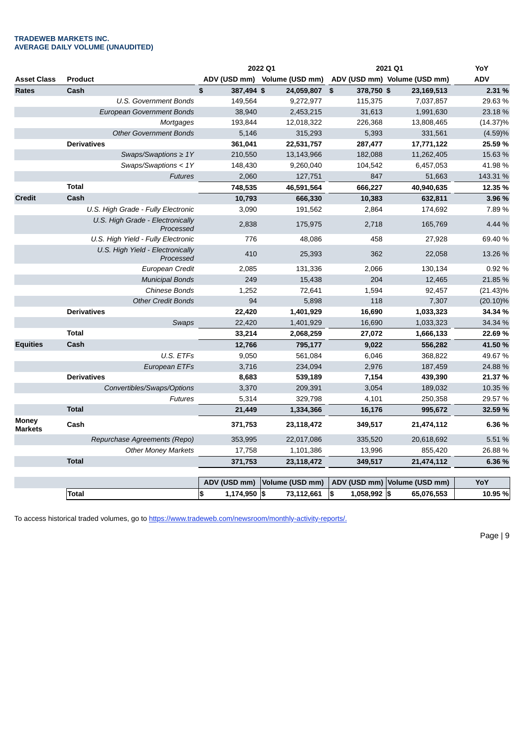#### **TRADEWEB MARKETS INC. AVERAGE DAILY VOLUME (UNAUDITED)**

|                                                                                                                                                                                                                                                                                                       |                              |                  | 2022 Q1                      | 2021 Q1            | YoY                          |             |
|-------------------------------------------------------------------------------------------------------------------------------------------------------------------------------------------------------------------------------------------------------------------------------------------------------|------------------------------|------------------|------------------------------|--------------------|------------------------------|-------------|
| <b>Asset Class</b>                                                                                                                                                                                                                                                                                    | <b>Product</b>               |                  | ADV (USD mm) Volume (USD mm) |                    | ADV (USD mm) Volume (USD mm) | <b>ADV</b>  |
| <b>Rates</b><br>Cash<br><b>U.S. Government Bonds</b><br><b>European Government Bonds</b><br>Mortgages<br><b>Other Government Bonds</b><br><b>Derivatives</b><br>Swaps/Swaptions $\geq 1Y$<br>Swaps/Swaptions < $1Y$<br><b>Futures</b>                                                                 |                              | \$<br>387,494 \$ | 24,059,807 \$                | 378,750 \$         | 23,169,513                   | 2.31 %      |
|                                                                                                                                                                                                                                                                                                       |                              | 149,564          | 9,272,977                    | 115,375            | 7,037,857                    | 29.63%      |
|                                                                                                                                                                                                                                                                                                       |                              | 38,940           | 2,453,215                    | 31,613             | 1,991,630                    | 23.18 %     |
|                                                                                                                                                                                                                                                                                                       |                              | 193,844          | 12,018,322                   | 226,368            | 13,808,465                   | $(14.37)\%$ |
|                                                                                                                                                                                                                                                                                                       | 5,146                        | 315,293          | 5,393                        | 331,561            | (4.59)%                      |             |
|                                                                                                                                                                                                                                                                                                       | 361,041                      | 22,531,757       | 287,477                      | 17,771,122         | 25.59 %                      |             |
|                                                                                                                                                                                                                                                                                                       | 210,550                      | 13,143,966       | 182,088                      | 11,262,405         | 15.63 %                      |             |
|                                                                                                                                                                                                                                                                                                       |                              | 148,430          | 9,260,040                    | 104,542            | 6,457,053                    | 41.98 %     |
|                                                                                                                                                                                                                                                                                                       | 2,060                        | 127,751          | 847                          | 51,663             | 143.31 %                     |             |
|                                                                                                                                                                                                                                                                                                       | <b>Total</b>                 | 748,535          | 46,591,564                   | 666,227            | 40,940,635                   | 12.35 %     |
| Cash<br><b>Credit</b><br>U.S. High Grade - Fully Electronic<br>U.S. High Grade - Electronically<br>Processed<br>U.S. High Yield - Fully Electronic<br>U.S. High Yield - Electronically<br>Processed<br>European Credit<br><b>Municipal Bonds</b><br><b>Chinese Bonds</b><br><b>Other Credit Bonds</b> |                              | 10,793           | 666,330                      | 10,383             | 632,811                      | 3.96 %      |
|                                                                                                                                                                                                                                                                                                       | 3,090                        | 191,562          | 2,864                        | 174,692            | 7.89 %                       |             |
|                                                                                                                                                                                                                                                                                                       | 2,838                        | 175,975          | 2,718                        | 165,769            | 4.44 %                       |             |
|                                                                                                                                                                                                                                                                                                       |                              | 776              | 48,086                       | 458                | 27,928                       | 69.40 %     |
|                                                                                                                                                                                                                                                                                                       | 410                          | 25,393           | 362                          | 22,058             | 13.26 %                      |             |
|                                                                                                                                                                                                                                                                                                       |                              | 2,085            | 131,336                      | 2,066              | 130,134                      | 0.92 %      |
|                                                                                                                                                                                                                                                                                                       |                              | 249              | 15,438                       | 204                | 12,465                       | 21.85 %     |
|                                                                                                                                                                                                                                                                                                       |                              | 1,252            | 72,641                       | 1,594              | 92,457                       | $(21.43)\%$ |
|                                                                                                                                                                                                                                                                                                       | 94                           | 5,898            | 118                          | 7,307              | $(20.10)\%$                  |             |
|                                                                                                                                                                                                                                                                                                       | <b>Derivatives</b>           | 22,420           | 1,401,929                    | 16,690             | 1,033,323                    | 34.34 %     |
| Swaps                                                                                                                                                                                                                                                                                                 | 22,420                       | 1,401,929        | 16,690                       | 1,033,323          | 34.34 %                      |             |
|                                                                                                                                                                                                                                                                                                       | <b>Total</b>                 | 33,214           | 2,068,259                    | 27,072             | 1,666,133                    | 22.69 %     |
| <b>Equities</b>                                                                                                                                                                                                                                                                                       | Cash                         | 12,766           | 795,177                      | 9,022              | 556,282                      | 41.50 %     |
| <b>Derivatives</b><br><b>Futures</b>                                                                                                                                                                                                                                                                  | U.S. ETFs                    | 9,050            | 561,084                      | 6,046              | 368,822                      | 49.67%      |
|                                                                                                                                                                                                                                                                                                       | European ETFs                | 3,716            | 234,094                      | 2,976              | 187,459                      | 24.88 %     |
|                                                                                                                                                                                                                                                                                                       |                              | 8,683            | 539,189                      | 7,154              | 439,390                      | 21.37 %     |
|                                                                                                                                                                                                                                                                                                       | Convertibles/Swaps/Options   | 3,370            | 209,391                      | 3,054              | 189,032                      | 10.35 %     |
|                                                                                                                                                                                                                                                                                                       | 5,314                        | 329,798          | 4,101                        | 250,358            | 29.57 %                      |             |
|                                                                                                                                                                                                                                                                                                       | <b>Total</b>                 | 21,449           | 1,334,366                    | 16,176             | 995,672                      | 32.59 %     |
| Money<br><b>Markets</b>                                                                                                                                                                                                                                                                               | Cash                         | 371,753          | 23,118,472                   | 349,517            | 21,474,112                   | 6.36 %      |
|                                                                                                                                                                                                                                                                                                       | Repurchase Agreements (Repo) | 353,995          | 22,017,086                   | 335,520            | 20,618,692                   | 5.51 %      |
|                                                                                                                                                                                                                                                                                                       | <b>Other Money Markets</b>   | 17,758           | 1,101,386                    | 13,996             | 855,420                      | 26.88 %     |
|                                                                                                                                                                                                                                                                                                       | <b>Total</b>                 | 371,753          | 23,118,472                   | 349,517            | 21,474,112                   | 6.36 %      |
|                                                                                                                                                                                                                                                                                                       |                              | ADV (USD mm)     | Volume (USD mm)              | ADV (USD mm)       | Volume (USD mm)              | YoY         |
|                                                                                                                                                                                                                                                                                                       | <b>Total</b>                 | \$<br>1,174,950  | l\$<br>73,112,661            | \$<br>1,058,992 \$ | 65,076,553                   | 10.95 %     |

To access historical traded volumes, go to https://www.tradeweb.com/newsroom/monthly-activity-reports/.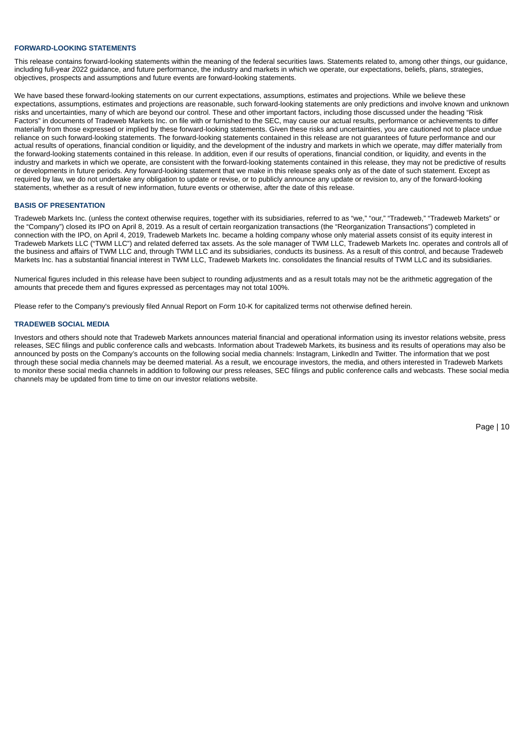#### **FORWARD-LOOKING STATEMENTS**

This release contains forward-looking statements within the meaning of the federal securities laws. Statements related to, among other things, our guidance, including full-year 2022 guidance, and future performance, the industry and markets in which we operate, our expectations, beliefs, plans, strategies, objectives, prospects and assumptions and future events are forward-looking statements.

We have based these forward-looking statements on our current expectations, assumptions, estimates and projections. While we believe these expectations, assumptions, estimates and projections are reasonable, such forward-looking statements are only predictions and involve known and unknown risks and uncertainties, many of which are beyond our control. These and other important factors, including those discussed under the heading "Risk Factors" in documents of Tradeweb Markets Inc. on file with or furnished to the SEC, may cause our actual results, performance or achievements to differ materially from those expressed or implied by these forward-looking statements. Given these risks and uncertainties, you are cautioned not to place undue reliance on such forward-looking statements. The forward-looking statements contained in this release are not guarantees of future performance and our actual results of operations, financial condition or liquidity, and the development of the industry and markets in which we operate, may differ materially from the forward-looking statements contained in this release. In addition, even if our results of operations, financial condition, or liquidity, and events in the industry and markets in which we operate, are consistent with the forward-looking statements contained in this release, they may not be predictive of results or developments in future periods. Any forward-looking statement that we make in this release speaks only as of the date of such statement. Except as required by law, we do not undertake any obligation to update or revise, or to publicly announce any update or revision to, any of the forward-looking statements, whether as a result of new information, future events or otherwise, after the date of this release.

#### **BASIS OF PRESENTATION**

Tradeweb Markets Inc. (unless the context otherwise requires, together with its subsidiaries, referred to as "we," "our," "Tradeweb," "Tradeweb Markets" or the "Company") closed its IPO on April 8, 2019. As a result of certain reorganization transactions (the "Reorganization Transactions") completed in connection with the IPO, on April 4, 2019, Tradeweb Markets Inc. became a holding company whose only material assets consist of its equity interest in Tradeweb Markets LLC ("TWM LLC") and related deferred tax assets. As the sole manager of TWM LLC, Tradeweb Markets Inc. operates and controls all of the business and affairs of TWM LLC and, through TWM LLC and its subsidiaries, conducts its business. As a result of this control, and because Tradeweb Markets Inc. has a substantial financial interest in TWM LLC, Tradeweb Markets Inc. consolidates the financial results of TWM LLC and its subsidiaries.

Numerical figures included in this release have been subject to rounding adjustments and as a result totals may not be the arithmetic aggregation of the amounts that precede them and figures expressed as percentages may not total 100%.

Please refer to the Company's previously filed Annual Report on Form 10-K for capitalized terms not otherwise defined herein.

#### **TRADEWEB SOCIAL MEDIA**

Investors and others should note that Tradeweb Markets announces material financial and operational information using its investor relations website, press releases, SEC filings and public conference calls and webcasts. Information about Tradeweb Markets, its business and its results of operations may also be announced by posts on the Company's accounts on the following social media channels: Instagram, LinkedIn and Twitter. The information that we post through these social media channels may be deemed material. As a result, we encourage investors, the media, and others interested in Tradeweb Markets to monitor these social media channels in addition to following our press releases, SEC filings and public conference calls and webcasts. These social media channels may be updated from time to time on our investor relations website.